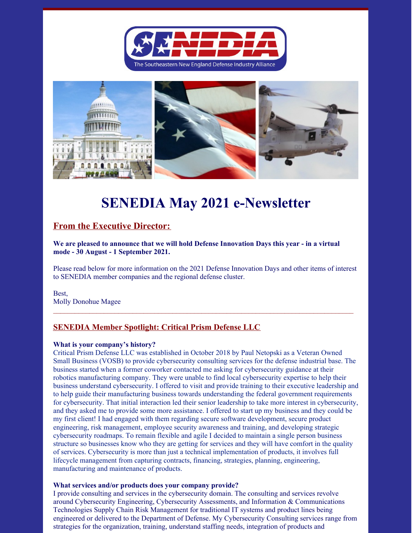



# **SENEDIA May 2021 e-Newsletter**

# **From the Executive Director:**

**We are pleased to announce that we will hold Defense Innovation Days this year - in a virtual mode - 30 August - 1 September 2021.**

Please read below for more information on the 2021 Defense Innovation Days and other items of interest to SENEDIA member companies and the regional defense cluster.

Best, Molly Donohue Magee

# **SENEDIA Member Spotlight: Critical Prism Defense LLC**

#### **What is your company's history?**

Critical Prism Defense LLC was established in October 2018 by Paul Netopski as a Veteran Owned Small Business (VOSB) to provide cybersecurity consulting services for the defense industrial base. The business started when a former coworker contacted me asking for cybersecurity guidance at their robotics manufacturing company. They were unable to find local cybersecurity expertise to help their business understand cybersecurity. I offered to visit and provide training to their executive leadership and to help guide their manufacturing business towards understanding the federal government requirements for cybersecurity. That initial interaction led their senior leadership to take more interest in cybersecurity, and they asked me to provide some more assistance. I offered to start up my business and they could be my first client! I had engaged with them regarding secure software development, secure product engineering, risk management, employee security awareness and training, and developing strategic cybersecurity roadmaps. To remain flexible and agile I decided to maintain a single person business structure so businesses know who they are getting for services and they will have comfort in the quality of services. Cybersecurity is more than just a technical implementation of products, it involves full lifecycle management from capturing contracts, financing, strategies, planning, engineering, manufacturing and maintenance of products.

#### **What services and/or products does your company provide?**

I provide consulting and services in the cybersecurity domain. The consulting and services revolve around Cybersecurity Engineering, Cybersecurity Assessments, and Information & Communications Technologies Supply Chain Risk Management for traditional IT systems and product lines being engineered or delivered to the Department of Defense. My Cybersecurity Consulting services range from strategies for the organization, training, understand staffing needs, integration of products and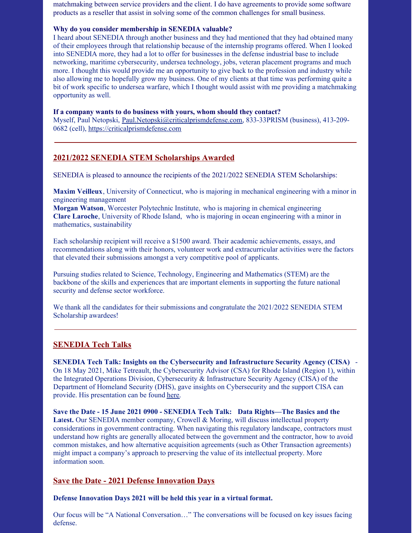matchmaking between service providers and the client. I do have agreements to provide some software products as a reseller that assist in solving some of the common challenges for small business.

#### **Why do you consider membership in SENEDIA valuable?**

I heard about SENEDIA through another business and they had mentioned that they had obtained many of their employees through that relationship because of the internship programs offered. When I looked into SENEDIA more, they had a lot to offer for businesses in the defense industrial base to include networking, maritime cybersecurity, undersea technology, jobs, veteran placement programs and much more. I thought this would provide me an opportunity to give back to the profession and industry while also allowing me to hopefully grow my business. One of my clients at that time was performing quite a bit of work specific to undersea warfare, which I thought would assist with me providing a matchmaking opportunity as well.

#### **If a company wants to do business with yours, whom should they contact?**

Myself, Paul Netopski, Paul.Netopski@criticalprismdefense.com, 833-33PRISM (business), 413-209- 0682 (cell), https://criticalprismdefense.com

# **2021/2022 SENEDIA STEM Scholarships Awarded**

SENEDIA is pleased to announce the recipients of the 2021/2022 SENEDIA STEM Scholarships:

**Maxim Veilleux**, University of Connecticut, who is majoring in mechanical engineering with a minor in engineering management

**Morgan Watson**, Worcester Polytechnic Institute, who is majoring in chemical engineering **Clare Laroche**, University of Rhode Island, who is majoring in ocean engineering with a minor in mathematics, sustainability

Each scholarship recipient will receive a \$1500 award. Their academic achievements, essays, and recommendations along with their honors, volunteer work and extracurricular activities were the factors that elevated their submissions amongst a very competitive pool of applicants.

Pursuing studies related to Science, Technology, Engineering and Mathematics (STEM) are the backbone of the skills and experiences that are important elements in supporting the future national security and defense sector workforce.

We thank all the candidates for their submissions and congratulate the 2021/2022 SENEDIA STEM Scholarship awardees!

# **SENEDIA Tech Talks**

**SENEDIA Tech Talk: Insights on the Cybersecurity and Infrastructure Security Agency (CISA)** - On 18 May 2021, Mike Tetreault, the Cybersecurity Advisor (CSA) for Rhode Island (Region 1), within the Integrated Operations Division, Cybersecurity & Infrastructure Security Agency (CISA) of the Department of Homeland Security (DHS), gave insights on Cybersecurity and the support CISA can provide. His presentation can be found here.

**Save the Date - 15 June 2021 0900 - SENEDIA Tech Talk: Data Rights—The Basics and the La**t**est.** Our SENEDIA member company, Crowell & Moring, will discuss intellectual property considerations in government contracting. When navigating this regulatory landscape, contractors must understand how rights are generally allocated between the government and the contractor, how to avoid common mistakes, and how alternative acquisition agreements (such as Other Transaction agreements) might impact a company's approach to preserving the value of its intellectual property. More information soon.

# **Save the Date - 2021 Defense Innovation Days**

**Defense Innovation Days 2021 will be held this year in a virtual format.**

Our focus will be "A National Conversation…" The conversations will be focused on key issues facing defense.